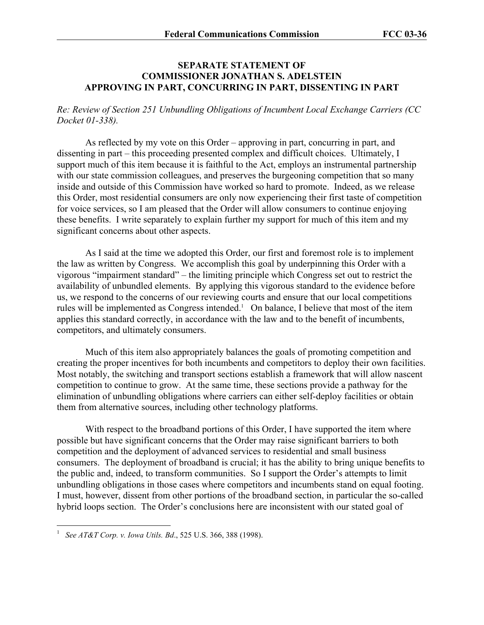## **SEPARATE STATEMENT OF COMMISSIONER JONATHAN S. ADELSTEIN APPROVING IN PART, CONCURRING IN PART, DISSENTING IN PART**

*Re: Review of Section 251 Unbundling Obligations of Incumbent Local Exchange Carriers (CC Docket 01-338).* 

As reflected by my vote on this Order – approving in part, concurring in part, and dissenting in part – this proceeding presented complex and difficult choices. Ultimately, I support much of this item because it is faithful to the Act, employs an instrumental partnership with our state commission colleagues, and preserves the burgeoning competition that so many inside and outside of this Commission have worked so hard to promote. Indeed, as we release this Order, most residential consumers are only now experiencing their first taste of competition for voice services, so I am pleased that the Order will allow consumers to continue enjoying these benefits. I write separately to explain further my support for much of this item and my significant concerns about other aspects.

As I said at the time we adopted this Order, our first and foremost role is to implement the law as written by Congress. We accomplish this goal by underpinning this Order with a vigorous "impairment standard" – the limiting principle which Congress set out to restrict the availability of unbundled elements. By applying this vigorous standard to the evidence before us, we respond to the concerns of our reviewing courts and ensure that our local competitions rules will be implemented as Congress intended.<sup>1</sup> On balance, I believe that most of the item applies this standard correctly, in accordance with the law and to the benefit of incumbents, competitors, and ultimately consumers.

Much of this item also appropriately balances the goals of promoting competition and creating the proper incentives for both incumbents and competitors to deploy their own facilities. Most notably, the switching and transport sections establish a framework that will allow nascent competition to continue to grow. At the same time, these sections provide a pathway for the elimination of unbundling obligations where carriers can either self-deploy facilities or obtain them from alternative sources, including other technology platforms.

With respect to the broadband portions of this Order, I have supported the item where possible but have significant concerns that the Order may raise significant barriers to both competition and the deployment of advanced services to residential and small business consumers. The deployment of broadband is crucial; it has the ability to bring unique benefits to the public and, indeed, to transform communities. So I support the Order's attempts to limit unbundling obligations in those cases where competitors and incumbents stand on equal footing. I must, however, dissent from other portions of the broadband section, in particular the so-called hybrid loops section. The Order's conclusions here are inconsistent with our stated goal of

1

<sup>1</sup> *See AT&T Corp. v. Iowa Utils. Bd*., 525 U.S. 366, 388 (1998).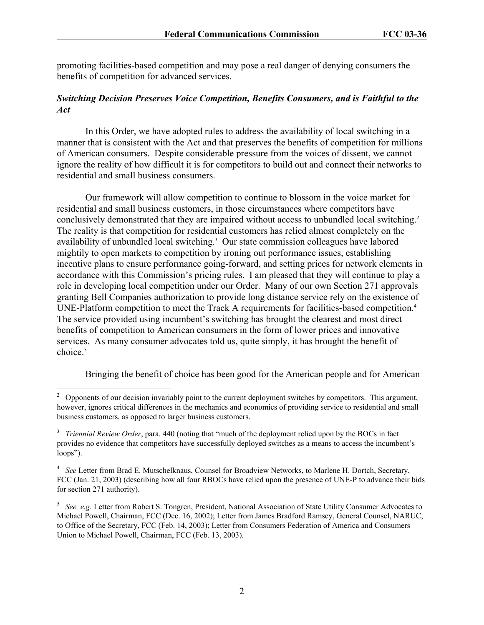promoting facilities-based competition and may pose a real danger of denying consumers the benefits of competition for advanced services.

## *Switching Decision Preserves Voice Competition, Benefits Consumers, and is Faithful to the Act*

In this Order, we have adopted rules to address the availability of local switching in a manner that is consistent with the Act and that preserves the benefits of competition for millions of American consumers. Despite considerable pressure from the voices of dissent, we cannot ignore the reality of how difficult it is for competitors to build out and connect their networks to residential and small business consumers.

Our framework will allow competition to continue to blossom in the voice market for residential and small business customers, in those circumstances where competitors have conclusively demonstrated that they are impaired without access to unbundled local switching.<sup>2</sup> The reality is that competition for residential customers has relied almost completely on the availability of unbundled local switching.<sup>3</sup> Our state commission colleagues have labored mightily to open markets to competition by ironing out performance issues, establishing incentive plans to ensure performance going-forward, and setting prices for network elements in accordance with this Commission's pricing rules. I am pleased that they will continue to play a role in developing local competition under our Order. Many of our own Section 271 approvals granting Bell Companies authorization to provide long distance service rely on the existence of UNE-Platform competition to meet the Track A requirements for facilities-based competition.<sup>4</sup> The service provided using incumbent's switching has brought the clearest and most direct benefits of competition to American consumers in the form of lower prices and innovative services. As many consumer advocates told us, quite simply, it has brought the benefit of choice.<sup>5</sup>

Bringing the benefit of choice has been good for the American people and for American

 $\frac{1}{2}$  Opponents of our decision invariably point to the current deployment switches by competitors. This argument, however, ignores critical differences in the mechanics and economics of providing service to residential and small business customers, as opposed to larger business customers.

<sup>&</sup>lt;sup>3</sup> *Triennial Review Order*, para. 440 (noting that "much of the deployment relied upon by the BOCs in fact provides no evidence that competitors have successfully deployed switches as a means to access the incumbent's loops").

<sup>4</sup> *See* Letter from Brad E. Mutschelknaus, Counsel for Broadview Networks, to Marlene H. Dortch, Secretary, FCC (Jan. 21, 2003) (describing how all four RBOCs have relied upon the presence of UNE-P to advance their bids for section 271 authority).

<sup>&</sup>lt;sup>5</sup> See, e.g. Letter from Robert S. Tongren, President, National Association of State Utility Consumer Advocates to Michael Powell, Chairman, FCC (Dec. 16, 2002); Letter from James Bradford Ramsey, General Counsel, NARUC, to Office of the Secretary, FCC (Feb. 14, 2003); Letter from Consumers Federation of America and Consumers Union to Michael Powell, Chairman, FCC (Feb. 13, 2003).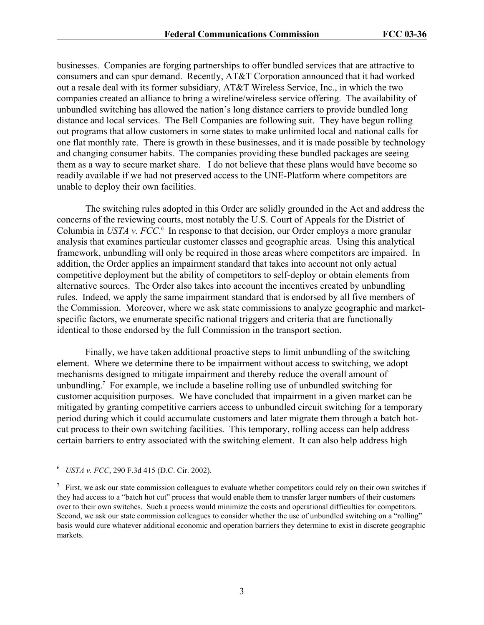businesses. Companies are forging partnerships to offer bundled services that are attractive to consumers and can spur demand. Recently, AT&T Corporation announced that it had worked out a resale deal with its former subsidiary, AT&T Wireless Service, Inc., in which the two companies created an alliance to bring a wireline/wireless service offering. The availability of unbundled switching has allowed the nation's long distance carriers to provide bundled long distance and local services. The Bell Companies are following suit. They have begun rolling out programs that allow customers in some states to make unlimited local and national calls for one flat monthly rate. There is growth in these businesses, and it is made possible by technology and changing consumer habits. The companies providing these bundled packages are seeing them as a way to secure market share. I do not believe that these plans would have become so readily available if we had not preserved access to the UNE-Platform where competitors are unable to deploy their own facilities.

The switching rules adopted in this Order are solidly grounded in the Act and address the concerns of the reviewing courts, most notably the U.S. Court of Appeals for the District of Columbia in *USTA v. FCC*. 6 In response to that decision, our Order employs a more granular analysis that examines particular customer classes and geographic areas. Using this analytical framework, unbundling will only be required in those areas where competitors are impaired. In addition, the Order applies an impairment standard that takes into account not only actual competitive deployment but the ability of competitors to self-deploy or obtain elements from alternative sources. The Order also takes into account the incentives created by unbundling rules. Indeed, we apply the same impairment standard that is endorsed by all five members of the Commission. Moreover, where we ask state commissions to analyze geographic and marketspecific factors, we enumerate specific national triggers and criteria that are functionally identical to those endorsed by the full Commission in the transport section.

Finally, we have taken additional proactive steps to limit unbundling of the switching element. Where we determine there to be impairment without access to switching, we adopt mechanisms designed to mitigate impairment and thereby reduce the overall amount of unbundling.7 For example, we include a baseline rolling use of unbundled switching for customer acquisition purposes. We have concluded that impairment in a given market can be mitigated by granting competitive carriers access to unbundled circuit switching for a temporary period during which it could accumulate customers and later migrate them through a batch hotcut process to their own switching facilities. This temporary, rolling access can help address certain barriers to entry associated with the switching element. It can also help address high

 6 *USTA v. FCC*, 290 F.3d 415 (D.C. Cir. 2002).

 $\frac{7}{1}$  First, we ask our state commission colleagues to evaluate whether competitors could rely on their own switches if they had access to a "batch hot cut" process that would enable them to transfer larger numbers of their customers over to their own switches. Such a process would minimize the costs and operational difficulties for competitors. Second, we ask our state commission colleagues to consider whether the use of unbundled switching on a "rolling" basis would cure whatever additional economic and operation barriers they determine to exist in discrete geographic markets.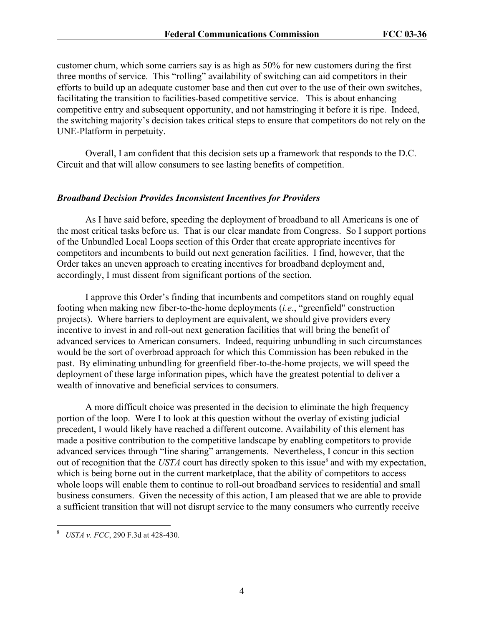customer churn, which some carriers say is as high as 50% for new customers during the first three months of service. This "rolling" availability of switching can aid competitors in their efforts to build up an adequate customer base and then cut over to the use of their own switches, facilitating the transition to facilities-based competitive service. This is about enhancing competitive entry and subsequent opportunity, and not hamstringing it before it is ripe. Indeed, the switching majority's decision takes critical steps to ensure that competitors do not rely on the UNE-Platform in perpetuity.

Overall, I am confident that this decision sets up a framework that responds to the D.C. Circuit and that will allow consumers to see lasting benefits of competition.

## *Broadband Decision Provides Inconsistent Incentives for Providers*

As I have said before, speeding the deployment of broadband to all Americans is one of the most critical tasks before us. That is our clear mandate from Congress. So I support portions of the Unbundled Local Loops section of this Order that create appropriate incentives for competitors and incumbents to build out next generation facilities. I find, however, that the Order takes an uneven approach to creating incentives for broadband deployment and, accordingly, I must dissent from significant portions of the section.

I approve this Order's finding that incumbents and competitors stand on roughly equal footing when making new fiber-to-the-home deployments (*i.e*., "greenfield" construction projects). Where barriers to deployment are equivalent, we should give providers every incentive to invest in and roll-out next generation facilities that will bring the benefit of advanced services to American consumers. Indeed, requiring unbundling in such circumstances would be the sort of overbroad approach for which this Commission has been rebuked in the past. By eliminating unbundling for greenfield fiber-to-the-home projects, we will speed the deployment of these large information pipes, which have the greatest potential to deliver a wealth of innovative and beneficial services to consumers.

A more difficult choice was presented in the decision to eliminate the high frequency portion of the loop. Were I to look at this question without the overlay of existing judicial precedent, I would likely have reached a different outcome. Availability of this element has made a positive contribution to the competitive landscape by enabling competitors to provide advanced services through "line sharing" arrangements. Nevertheless, I concur in this section out of recognition that the *USTA* court has directly spoken to this issue<sup>8</sup> and with my expectation, which is being borne out in the current marketplace, that the ability of competitors to access whole loops will enable them to continue to roll-out broadband services to residential and small business consumers. Given the necessity of this action, I am pleased that we are able to provide a sufficient transition that will not disrupt service to the many consumers who currently receive

 8 *USTA v. FCC*, 290 F.3d at 428-430.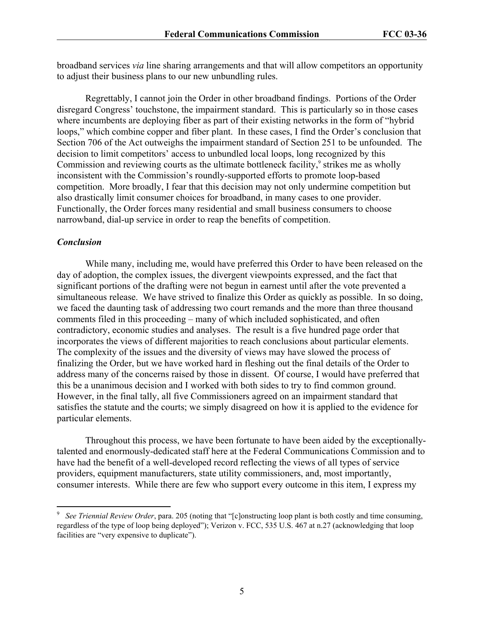broadband services *via* line sharing arrangements and that will allow competitors an opportunity to adjust their business plans to our new unbundling rules.

Regrettably, I cannot join the Order in other broadband findings. Portions of the Order disregard Congress' touchstone, the impairment standard. This is particularly so in those cases where incumbents are deploying fiber as part of their existing networks in the form of "hybrid loops," which combine copper and fiber plant. In these cases, I find the Order's conclusion that Section 706 of the Act outweighs the impairment standard of Section 251 to be unfounded. The decision to limit competitors' access to unbundled local loops, long recognized by this Commission and reviewing courts as the ultimate bottleneck facility,<sup>9</sup> strikes me as wholly inconsistent with the Commission's roundly-supported efforts to promote loop-based competition. More broadly, I fear that this decision may not only undermine competition but also drastically limit consumer choices for broadband, in many cases to one provider. Functionally, the Order forces many residential and small business consumers to choose narrowband, dial-up service in order to reap the benefits of competition.

## *Conclusion*

 $\overline{a}$ 

While many, including me, would have preferred this Order to have been released on the day of adoption, the complex issues, the divergent viewpoints expressed, and the fact that significant portions of the drafting were not begun in earnest until after the vote prevented a simultaneous release. We have strived to finalize this Order as quickly as possible. In so doing, we faced the daunting task of addressing two court remands and the more than three thousand comments filed in this proceeding – many of which included sophisticated, and often contradictory, economic studies and analyses. The result is a five hundred page order that incorporates the views of different majorities to reach conclusions about particular elements. The complexity of the issues and the diversity of views may have slowed the process of finalizing the Order, but we have worked hard in fleshing out the final details of the Order to address many of the concerns raised by those in dissent. Of course, I would have preferred that this be a unanimous decision and I worked with both sides to try to find common ground. However, in the final tally, all five Commissioners agreed on an impairment standard that satisfies the statute and the courts; we simply disagreed on how it is applied to the evidence for particular elements.

Throughout this process, we have been fortunate to have been aided by the exceptionallytalented and enormously-dedicated staff here at the Federal Communications Commission and to have had the benefit of a well-developed record reflecting the views of all types of service providers, equipment manufacturers, state utility commissioners, and, most importantly, consumer interests. While there are few who support every outcome in this item, I express my

<sup>9</sup> *See Triennial Review Order*, para. 205 (noting that "[c]onstructing loop plant is both costly and time consuming, regardless of the type of loop being deployed"); Verizon v. FCC, 535 U.S. 467 at n.27 (acknowledging that loop facilities are "very expensive to duplicate").